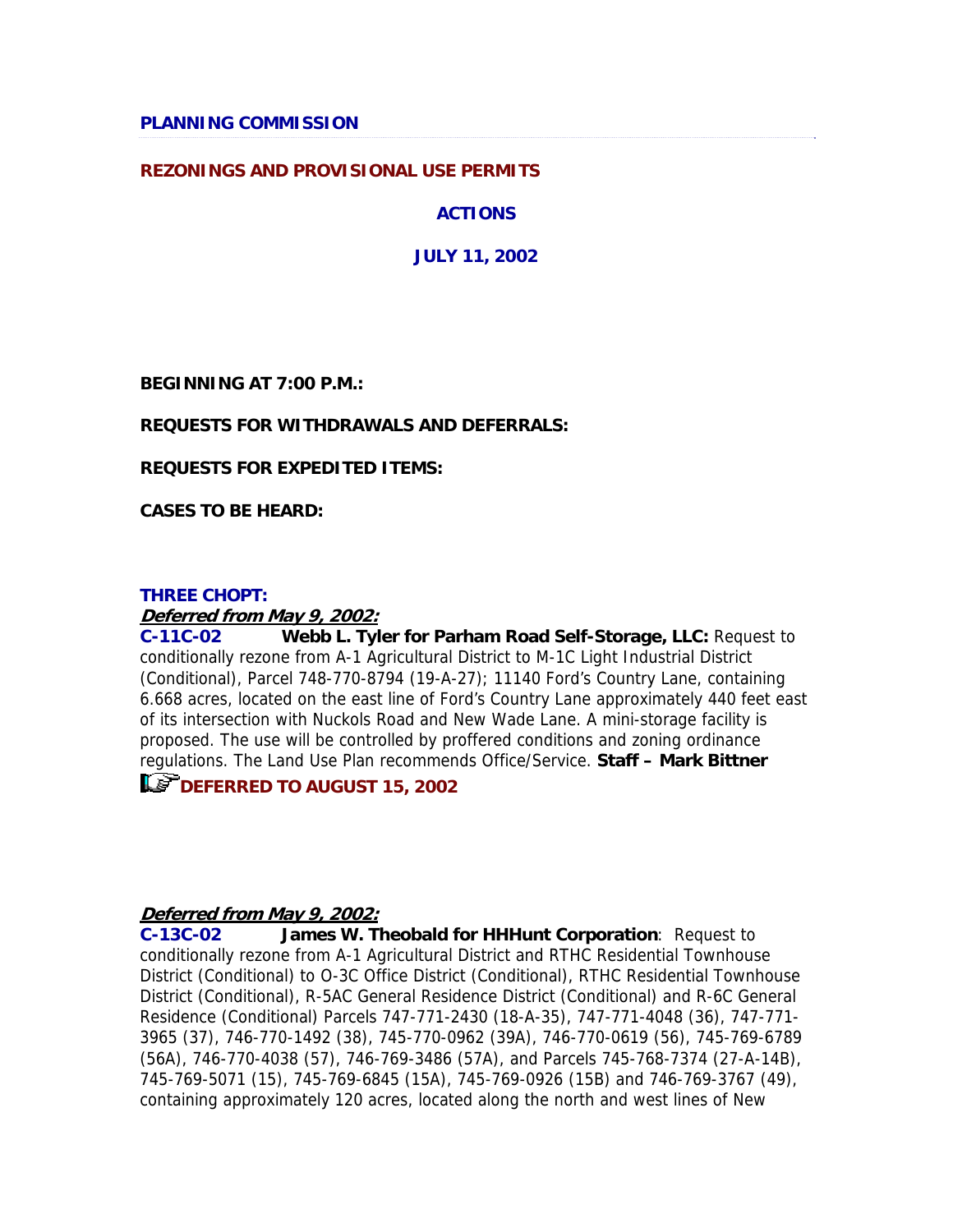## **REZONINGS AND PROVISIONAL USE PERMITS**

**ACTIONS**

**JULY 11, 2002**

**BEGINNING AT 7:00 P.M.:**

### **REQUESTS FOR WITHDRAWALS AND DEFERRALS:**

**REQUESTS FOR EXPEDITED ITEMS:**

**CASES TO BE HEARD:**

### **THREE CHOPT:**

### **Deferred from May 9, 2002:**

**C-11C-02 Webb L. Tyler for Parham Road Self-Storage, LLC:** Request to conditionally rezone from A-1 Agricultural District to M-1C Light Industrial District (Conditional), Parcel 748-770-8794 (19-A-27); 11140 Ford's Country Lane, containing 6.668 acres, located on the east line of Ford's Country Lane approximately 440 feet east of its intersection with Nuckols Road and New Wade Lane. A mini-storage facility is proposed. The use will be controlled by proffered conditions and zoning ordinance regulations. The Land Use Plan recommends Office/Service. **Staff – Mark Bittner**

**LET DEFERRED TO AUGUST 15, 2002** 

### **Deferred from May 9, 2002:**

**C-13C-02 James W. Theobald for HHHunt Corporation**: Request to conditionally rezone from A-1 Agricultural District and RTHC Residential Townhouse District (Conditional) to O-3C Office District (Conditional), RTHC Residential Townhouse District (Conditional), R-5AC General Residence District (Conditional) and R-6C General Residence (Conditional) Parcels 747-771-2430 (18-A-35), 747-771-4048 (36), 747-771- 3965 (37), 746-770-1492 (38), 745-770-0962 (39A), 746-770-0619 (56), 745-769-6789 (56A), 746-770-4038 (57), 746-769-3486 (57A), and Parcels 745-768-7374 (27-A-14B), 745-769-5071 (15), 745-769-6845 (15A), 745-769-0926 (15B) and 746-769-3767 (49), containing approximately 120 acres, located along the north and west lines of New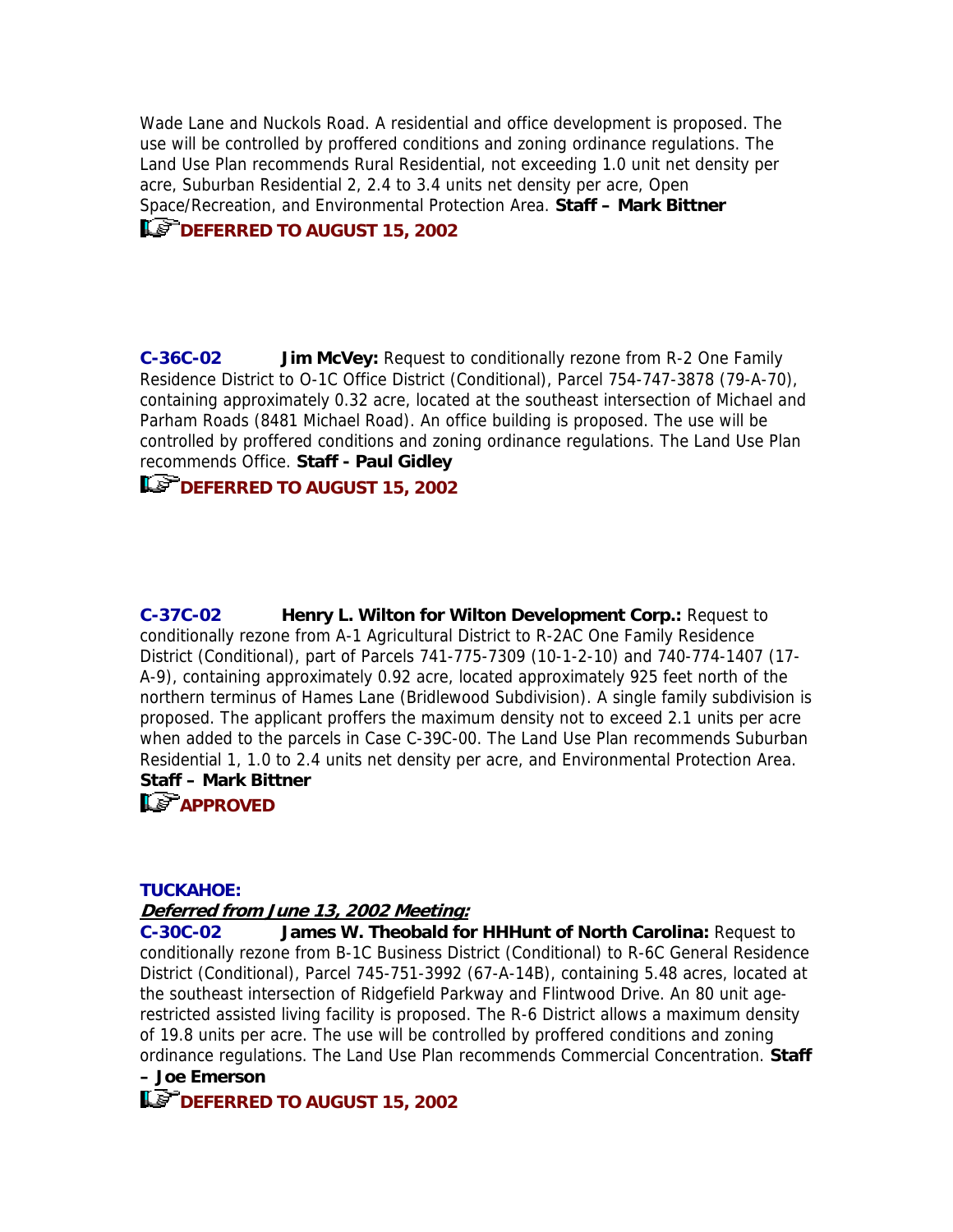Wade Lane and Nuckols Road. A residential and office development is proposed. The use will be controlled by proffered conditions and zoning ordinance regulations. The Land Use Plan recommends Rural Residential, not exceeding 1.0 unit net density per acre, Suburban Residential 2, 2.4 to 3.4 units net density per acre, Open Space/Recreation, and Environmental Protection Area. **Staff – Mark Bittner**

# **Le<sup>P</sup>DEFERRED TO AUGUST 15, 2002**

**C-36C-02 Jim McVey:** Request to conditionally rezone from R-2 One Family Residence District to O-1C Office District (Conditional), Parcel 754-747-3878 (79-A-70), containing approximately 0.32 acre, located at the southeast intersection of Michael and Parham Roads (8481 Michael Road). An office building is proposed. The use will be controlled by proffered conditions and zoning ordinance regulations. The Land Use Plan recommends Office. **Staff - Paul Gidley**

# **DEFERRED TO AUGUST 15, 2002**

**C-37C-02 Henry L. Wilton for Wilton Development Corp.:** Request to conditionally rezone from A-1 Agricultural District to R-2AC One Family Residence District (Conditional), part of Parcels 741-775-7309 (10-1-2-10) and 740-774-1407 (17- A-9), containing approximately 0.92 acre, located approximately 925 feet north of the northern terminus of Hames Lane (Bridlewood Subdivision). A single family subdivision is proposed. The applicant proffers the maximum density not to exceed 2.1 units per acre when added to the parcels in Case C-39C-00. The Land Use Plan recommends Suburban Residential 1, 1.0 to 2.4 units net density per acre, and Environmental Protection Area. **Staff – Mark Bittner**

# **APPROVED**

### **TUCKAHOE:**

## **Deferred from June 13, 2002 Meeting:**

**C-30C-02 James W. Theobald for HHHunt of North Carolina:** Request to conditionally rezone from B-1C Business District (Conditional) to R-6C General Residence District (Conditional), Parcel 745-751-3992 (67-A-14B), containing 5.48 acres, located at the southeast intersection of Ridgefield Parkway and Flintwood Drive. An 80 unit agerestricted assisted living facility is proposed. The R-6 District allows a maximum density of 19.8 units per acre. The use will be controlled by proffered conditions and zoning ordinance regulations. The Land Use Plan recommends Commercial Concentration. **Staff – Joe Emerson**

**LET DEFERRED TO AUGUST 15, 2002**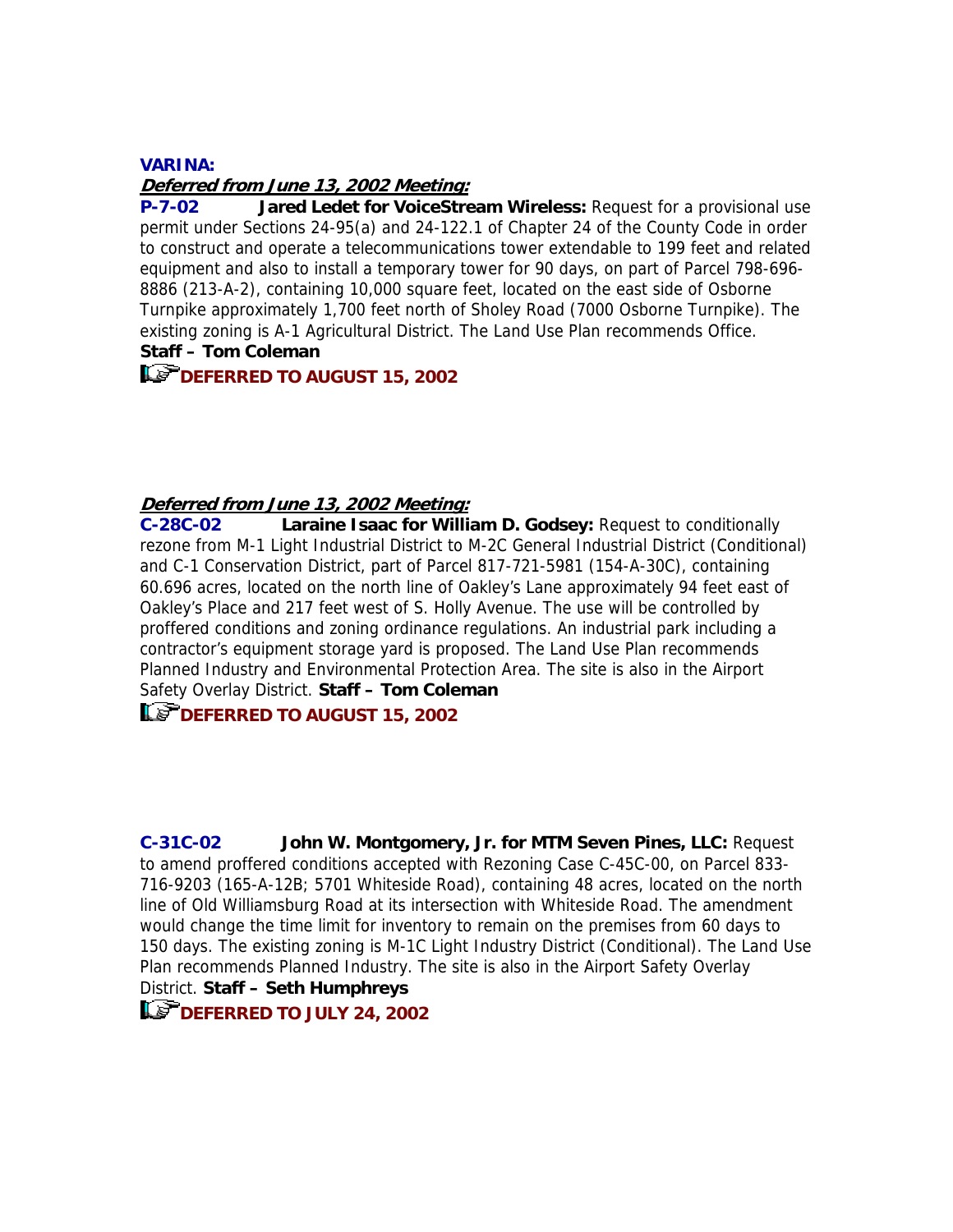### **VARINA:**

### **Deferred from June 13, 2002 Meeting:**

**P-7-02 Jared Ledet for VoiceStream Wireless:** Request for a provisional use permit under Sections 24-95(a) and 24-122.1 of Chapter 24 of the County Code in order to construct and operate a telecommunications tower extendable to 199 feet and related equipment and also to install a temporary tower for 90 days, on part of Parcel 798-696- 8886 (213-A-2), containing 10,000 square feet, located on the east side of Osborne Turnpike approximately 1,700 feet north of Sholey Road (7000 Osborne Turnpike). The existing zoning is A-1 Agricultural District. The Land Use Plan recommends Office. **Staff – Tom Coleman**

# **DEFERRED TO AUGUST 15, 2002**

## **Deferred from June 13, 2002 Meeting:**

**C-28C-02 Laraine Isaac for William D. Godsey:** Request to conditionally rezone from M-1 Light Industrial District to M-2C General Industrial District (Conditional) and C-1 Conservation District, part of Parcel 817-721-5981 (154-A-30C), containing 60.696 acres, located on the north line of Oakley's Lane approximately 94 feet east of Oakley's Place and 217 feet west of S. Holly Avenue. The use will be controlled by proffered conditions and zoning ordinance regulations. An industrial park including a contractor's equipment storage yard is proposed. The Land Use Plan recommends Planned Industry and Environmental Protection Area. The site is also in the Airport Safety Overlay District. **Staff – Tom Coleman**

# **LET DEFERRED TO AUGUST 15, 2002**

**C-31C-02 John W. Montgomery, Jr. for MTM Seven Pines, LLC:** Request to amend proffered conditions accepted with Rezoning Case C-45C-00, on Parcel 833- 716-9203 (165-A-12B; 5701 Whiteside Road), containing 48 acres, located on the north line of Old Williamsburg Road at its intersection with Whiteside Road. The amendment would change the time limit for inventory to remain on the premises from 60 days to 150 days. The existing zoning is M-1C Light Industry District (Conditional). The Land Use Plan recommends Planned Industry. The site is also in the Airport Safety Overlay District. **Staff – Seth Humphreys**

**DEFERRED TO JULY 24, 2002**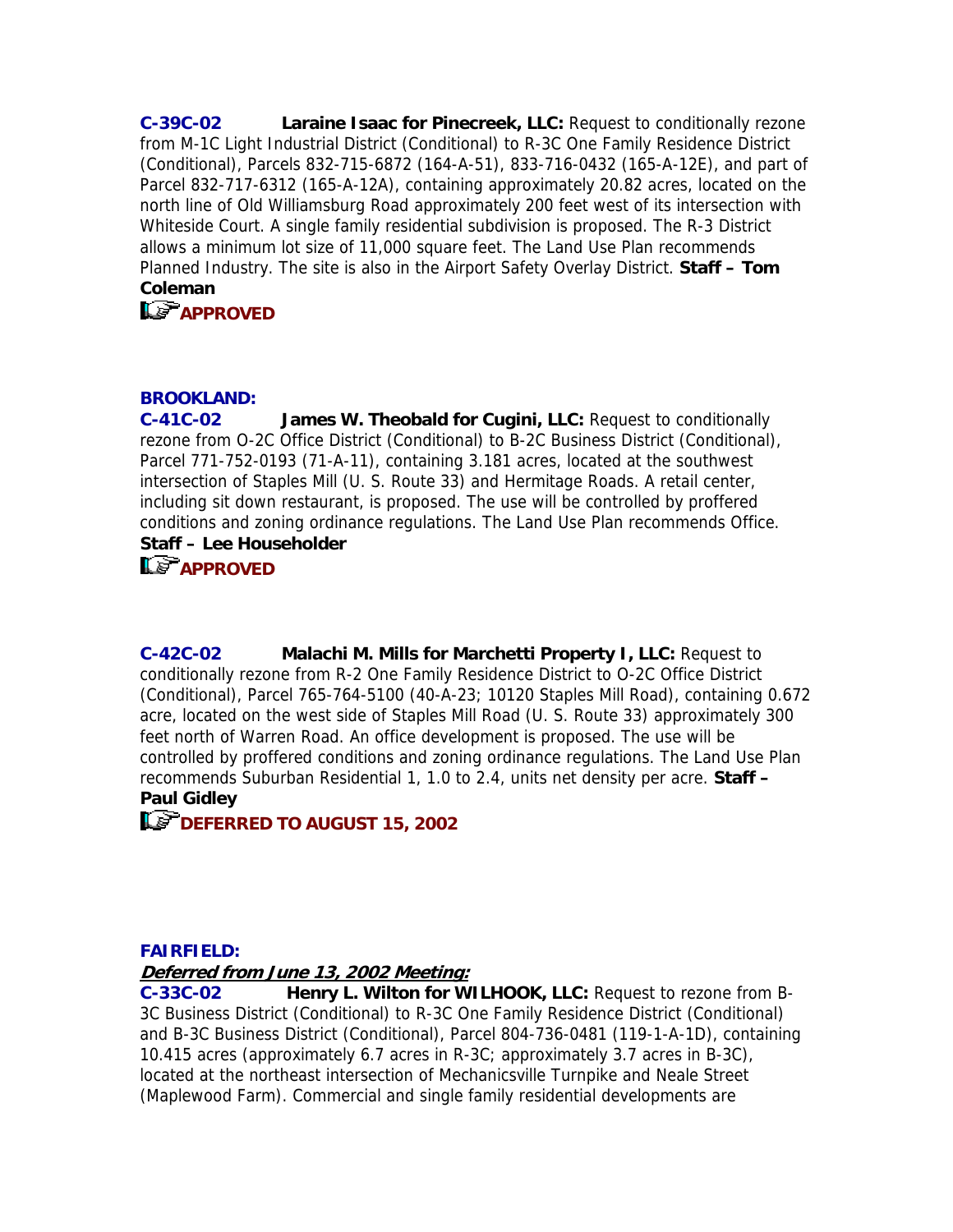**C-39C-02 Laraine Isaac for Pinecreek, LLC:** Request to conditionally rezone from M-1C Light Industrial District (Conditional) to R-3C One Family Residence District (Conditional), Parcels 832-715-6872 (164-A-51), 833-716-0432 (165-A-12E), and part of Parcel 832-717-6312 (165-A-12A), containing approximately 20.82 acres, located on the north line of Old Williamsburg Road approximately 200 feet west of its intersection with Whiteside Court. A single family residential subdivision is proposed. The R-3 District allows a minimum lot size of 11,000 square feet. The Land Use Plan recommends Planned Industry. The site is also in the Airport Safety Overlay District. **Staff – Tom Coleman**

**LE-APPROVED** 

# **BROOKLAND:**

**C-41C-02 James W. Theobald for Cugini, LLC:** Request to conditionally rezone from O-2C Office District (Conditional) to B-2C Business District (Conditional), Parcel 771-752-0193 (71-A-11), containing 3.181 acres, located at the southwest intersection of Staples Mill (U. S. Route 33) and Hermitage Roads. A retail center, including sit down restaurant, is proposed. The use will be controlled by proffered conditions and zoning ordinance regulations. The Land Use Plan recommends Office. **Staff – Lee Householder**

**LS** APPROVED

**C-42C-02 Malachi M. Mills for Marchetti Property I, LLC:** Request to conditionally rezone from R-2 One Family Residence District to O-2C Office District (Conditional), Parcel 765-764-5100 (40-A-23; 10120 Staples Mill Road), containing 0.672 acre, located on the west side of Staples Mill Road (U. S. Route 33) approximately 300 feet north of Warren Road. An office development is proposed. The use will be controlled by proffered conditions and zoning ordinance regulations. The Land Use Plan recommends Suburban Residential 1, 1.0 to 2.4, units net density per acre. **Staff – Paul Gidley**

**DEFERRED TO AUGUST 15, 2002** 

## **FAIRFIELD:**

**Deferred from June 13, 2002 Meeting:**

**C-33C-02 Henry L. Wilton for WILHOOK, LLC:** Request to rezone from B-3C Business District (Conditional) to R-3C One Family Residence District (Conditional) and B-3C Business District (Conditional), Parcel 804-736-0481 (119-1-A-1D), containing 10.415 acres (approximately 6.7 acres in R-3C; approximately 3.7 acres in B-3C), located at the northeast intersection of Mechanicsville Turnpike and Neale Street (Maplewood Farm). Commercial and single family residential developments are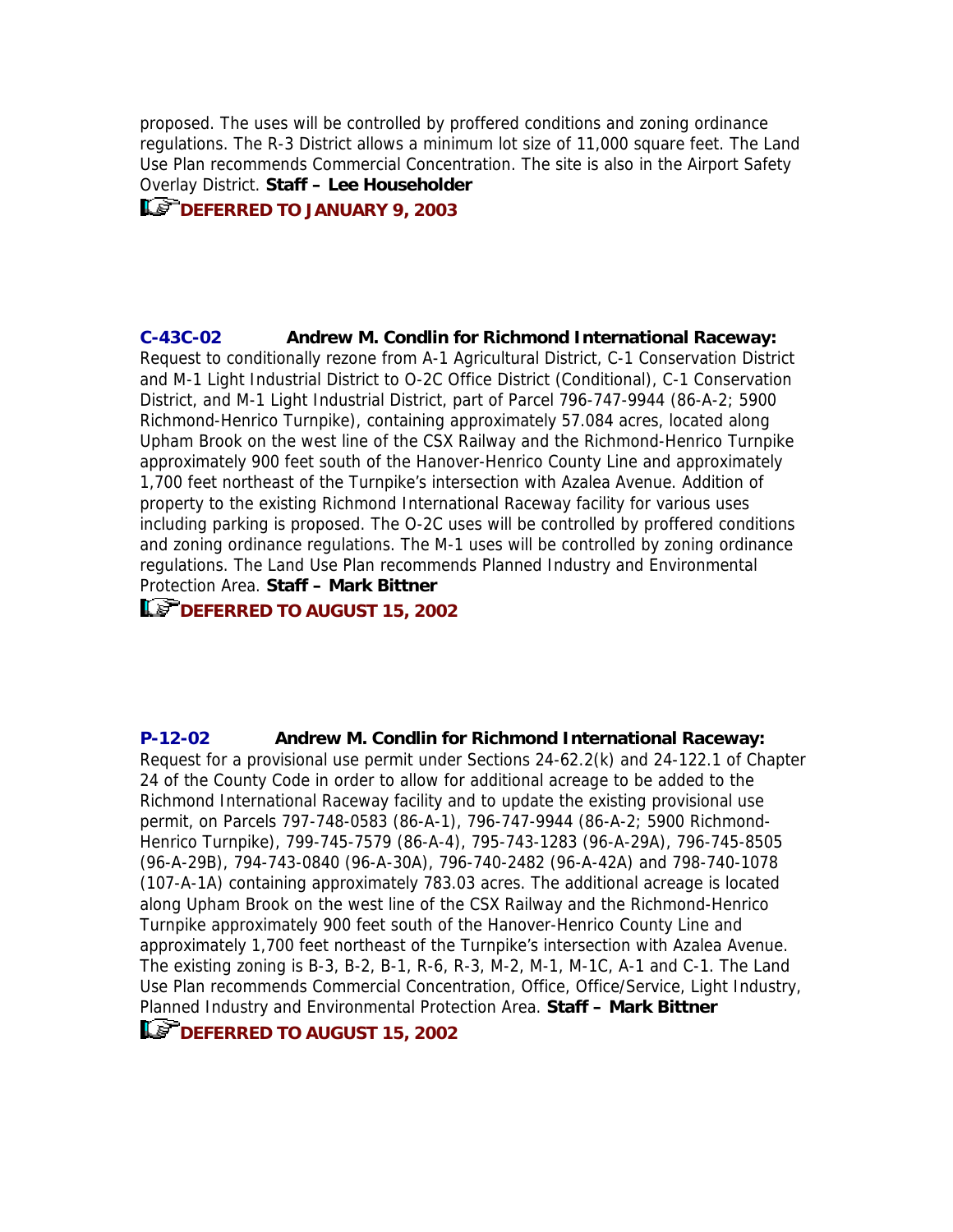proposed. The uses will be controlled by proffered conditions and zoning ordinance regulations. The R-3 District allows a minimum lot size of 11,000 square feet. The Land Use Plan recommends Commercial Concentration. The site is also in the Airport Safety Overlay District. **Staff – Lee Householder**

**DEFERRED TO JANUARY 9, 2003** 

**C-43C-02 Andrew M. Condlin for Richmond International Raceway:** Request to conditionally rezone from A-1 Agricultural District, C-1 Conservation District and M-1 Light Industrial District to O-2C Office District (Conditional), C-1 Conservation District, and M-1 Light Industrial District, part of Parcel 796-747-9944 (86-A-2; 5900 Richmond-Henrico Turnpike), containing approximately 57.084 acres, located along Upham Brook on the west line of the CSX Railway and the Richmond-Henrico Turnpike approximately 900 feet south of the Hanover-Henrico County Line and approximately 1,700 feet northeast of the Turnpike's intersection with Azalea Avenue. Addition of property to the existing Richmond International Raceway facility for various uses including parking is proposed. The O-2C uses will be controlled by proffered conditions and zoning ordinance regulations. The M-1 uses will be controlled by zoning ordinance regulations. The Land Use Plan recommends Planned Industry and Environmental Protection Area. **Staff – Mark Bittner**

# **LET DEFERRED TO AUGUST 15, 2002**

**P-12-02 Andrew M. Condlin for Richmond International Raceway:** Request for a provisional use permit under Sections 24-62.2(k) and 24-122.1 of Chapter 24 of the County Code in order to allow for additional acreage to be added to the Richmond International Raceway facility and to update the existing provisional use permit, on Parcels 797-748-0583 (86-A-1), 796-747-9944 (86-A-2; 5900 Richmond-Henrico Turnpike), 799-745-7579 (86-A-4), 795-743-1283 (96-A-29A), 796-745-8505 (96-A-29B), 794-743-0840 (96-A-30A), 796-740-2482 (96-A-42A) and 798-740-1078 (107-A-1A) containing approximately 783.03 acres. The additional acreage is located along Upham Brook on the west line of the CSX Railway and the Richmond-Henrico Turnpike approximately 900 feet south of the Hanover-Henrico County Line and approximately 1,700 feet northeast of the Turnpike's intersection with Azalea Avenue. The existing zoning is B-3, B-2, B-1, R-6, R-3, M-2, M-1, M-1C, A-1 and C-1. The Land Use Plan recommends Commercial Concentration, Office, Office/Service, Light Industry, Planned Industry and Environmental Protection Area. **Staff – Mark Bittner**

**IDEFERRED TO AUGUST 15, 2002**